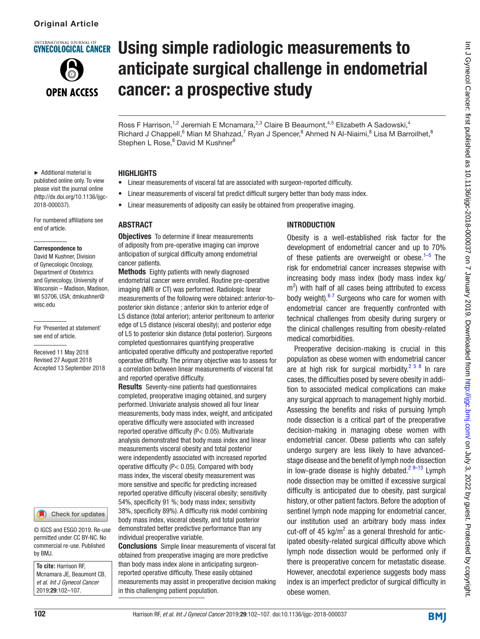**NTERNATIONAL JOURNAL O** 

# **GYNECOLOGICAL CANCER**



# Using simple radiologic measurements to anticipate surgical challenge in endometrial cancer: a prospective study

Int J Gynecol Cancer: first published as 10.1136/ijgc-2018-000037 on 7 January 2019. Downloaded from http://ijgc.bmj.com/ on July 3, 2022 by guest. Protected by copyright nt J Gynecol Cancer: first published as 10.1136/ijgc-2018-000037 on 7 January 2019. Downloaded from <http://ijgc.bmj.com/> on July 3, 2022 by guest. Protected by copyright.

Ross F Harrison,<sup>1,2</sup> Jeremiah E Mcnamara,<sup>2,3</sup> Claire B Beaumont,<sup>4,5</sup> Elizabeth A Sadowski,<sup>4</sup> Richard J Chappell, <sup>6</sup> Mian M Shahzad, <sup>7</sup> Ryan J Spencer, <sup>8</sup> Ahmed N Al-Niaimi, <sup>8</sup> Lisa M Barroilhet, <sup>8</sup> Stephen L Rose,<sup>8</sup> David M Kushner<sup>8</sup>

#### ► Additional material is published online only. To view please visit the journal online (http://dx.doi.org/10.1136/ijgc-2018-000037).

For numbered affiliations see end of article.

#### Correspondence to

David M Kushner, Division of Gynecologic Oncology, Department of Obstetrics and Gynecology, University of Wisconsin – Madison, Madison, WI 53706, USA; dmkushner@ wisc.edu

For 'Presented at statement' see end of article.

Received 11 May 2018 Revised 27 August 2018 Accepted 13 September 2018

#### Check for updates

© IGCS and ESGO 2019. Re-use permitted under CC BY-NC. No commercial re-use. Published by BMJ.

**To cite:** Harrison RF, Mcnamara JE, Beaumont CB, *et al*. *Int J Gynecol Cancer* 2019;29:102–107.

#### **HIGHLIGHTS**

- Linear measurements of visceral fat are associated with surgeon-reported difficulty.
- Linear measurements of visceral fat predict difficult surgery better than body mass index.
- Linear measurements of adiposity can easily be obtained from preoperative imaging.

# **ABSTRACT**

**Objectives** To determine if linear measurements of adiposity from pre-operative imaging can improve anticipation of surgical difficulty among endometrial cancer patients.

**Methods** Eighty patients with newly diagnosed endometrial cancer were enrolled. Routine pre-operative imaging (MRI or CT) was performed. Radiologic linear measurements of the following were obtained: anterior-toposterior skin distance ; anterior skin to anterior edge of L5 distance (total anterior); anterior peritoneum to anterior edge of L5 distance (visceral obesity); and posterior edge of L5 to posterior skin distance (total posterior). Surgeons completed questionnaires quantifying preoperative anticipated operative difficulty and postoperative reported operative difficulty. The primary objective was to assess for a correlation between linear measurements of visceral fat and reported operative difficulty.

Results Seventy-nine patients had questionnaires completed, preoperative imaging obtained, and surgery performed. Univariate analysis showed all four linear measurements, body mass index, weight, and anticipated operative difficulty were associated with increased reported operative difficulty (P< 0.05). Multivariate analysis demonstrated that body mass index and linear measurements visceral obesity and total posterior were independently associated with increased reported operative difficulty (P< 0.05). Compared with body mass index, the visceral obesity measurement was more sensitive and specific for predicting increased reported operative difficulty (visceral obesity; sensitivity 54%, specificity 91 %; body mass index; sensitivity 38%, specificity 89%). A difficulty risk model combining body mass index, visceral obesity, and total posterior demonstrated better predictive performance than any individual preoperative variable.

**Conclusions** Simple linear measurements of visceral fat obtained from preoperative imaging are more predictive than body mass index alone in anticipating surgeonreported operative difficulty. These easily obtained measurements may assist in preoperative decision making in this challenging patient population.

# **INTRODUCTION**

Obesity is a well-established risk factor for the development of endometrial cancer and up to 70% of these patients are overweight or obese.<sup>[1–5](#page-5-0)</sup> The risk for endometrial cancer increases stepwise with increasing body mass index (body mass index kg/  $\text{m}^2$ ) with half of all cases being attributed to excess body weight). $67$  Surgeons who care for women with endometrial cancer are frequently confronted with technical challenges from obesity during surgery or the clinical challenges resulting from obesity-related medical comorbidities.

Preoperative decision-making is crucial in this population as obese women with endometrial cancer are at high risk for surgical morbidity.<sup>2 5 8</sup> In rare cases, the difficulties posed by severe obesity in addition to associated medical complications can make any surgical approach to management highly morbid. Assessing the benefits and risks of pursuing lymph node dissection is a critical part of the preoperative decision-making in managing obese women with endometrial cancer. Obese patients who can safely undergo surgery are less likely to have advancedstage disease and the benefit of lymph node dissection in low-grade disease is highly debated.<sup>[2 9–13](#page-5-2)</sup> Lymph node dissection may be omitted if excessive surgical difficulty is anticipated due to obesity, past surgical history, or other patient factors. Before the adoption of sentinel lymph node mapping for endometrial cancer, our institution used an arbitrary body mass index cut-off of 45  $kg/m^2$  as a general threshold for anticipated obesity-related surgical difficulty above which lymph node dissection would be performed only if there is preoperative concern for metastatic disease. However, anecdotal experience suggests body mass index is an imperfect predictor of surgical difficulty in obese women.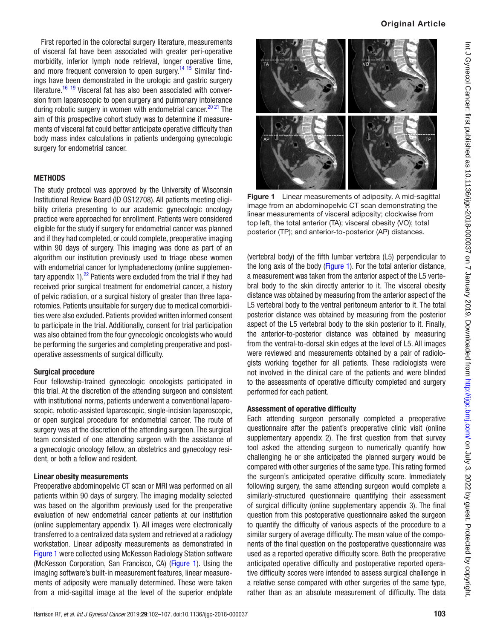First reported in the colorectal surgery literature, measurements of visceral fat have been associated with greater peri-operative morbidity, inferior lymph node retrieval, longer operative time, and more frequent conversion to open surgery.<sup>14 15</sup> Similar findings have been demonstrated in the urologic and gastric surgery literature.<sup>16–19</sup> Visceral fat has also been associated with conversion from laparoscopic to open surgery and pulmonary intolerance during robotic surgery in women with endometrial cancer.<sup>[20 21](#page-5-5)</sup> The aim of this prospective cohort study was to determine if measurements of visceral fat could better anticipate operative difficulty than body mass index calculations in patients undergoing gynecologic surgery for endometrial cancer.

# **METHODS**

The study protocol was approved by the University of Wisconsin Institutional Review Board (ID OS12708). All patients meeting eligibility criteria presenting to our academic gynecologic oncology practice were approached for enrollment. Patients were considered eligible for the study if surgery for endometrial cancer was planned and if they had completed, or could complete, preoperative imaging within 90 days of surgery. This imaging was done as part of an algorithm our institution previously used to triage obese women with endometrial cancer for lymphadenectomy [\(online supplemen](https://dx.doi.org/10.1136/ijgc-2018-000037)tary appendix  $1$ ).<sup>[22](#page-5-6)</sup> Patients were excluded from the trial if they had received prior surgical treatment for endometrial cancer, a history of pelvic radiation, or a surgical history of greater than three laparotomies. Patients unsuitable for surgery due to medical comorbidities were also excluded. Patients provided written informed consent to participate in the trial. Additionally, consent for trial participation was also obtained from the four gynecologic oncologists who would be performing the surgeries and completing preoperative and postoperative assessments of surgical difficulty.

# Surgical procedure

Four fellowship-trained gynecologic oncologists participated in this trial. At the discretion of the attending surgeon and consistent with institutional norms, patients underwent a conventional laparoscopic, robotic-assisted laparoscopic, single-incision laparoscopic, or open surgical procedure for endometrial cancer. The route of surgery was at the discretion of the attending surgeon. The surgical team consisted of one attending surgeon with the assistance of a gynecologic oncology fellow, an obstetrics and gynecology resident, or both a fellow and resident.

# Linear obesity measurements

Preoperative abdominopelvic CT scan or MRI was performed on all patients within 90 days of surgery. The imaging modality selected was based on the algorithm previously used for the preoperative evaluation of new endometrial cancer patients at our institution [\(online supplementary appendix 1](https://dx.doi.org/10.1136/ijgc-2018-000037)). All images were electronically transferred to a centralized data system and retrieved at a radiology workstation. Linear adiposity measurements as demonstrated in [Figure 1](#page-1-0) were collected using McKesson Radiology Station software (McKesson Corporation, San Francisco, CA) ([Figure 1](#page-1-0)). Using the imaging software's built-in measurement features, linear measurements of adiposity were manually determined. These were taken from a mid-sagittal image at the level of the superior endplate



<span id="page-1-0"></span>Figure 1 Linear measurements of adiposity. A mid-sagittal image from an abdominopelvic CT scan demonstrating the linear measurements of visceral adiposity; clockwise from top left, the total anterior (TA); visceral obesity (VO); total posterior (TP); and anterior-to-posterior (AP) distances.

(vertebral body) of the fifth lumbar vertebra (L5) perpendicular to the long axis of the body ([Figure 1](#page-1-0)). For the total anterior distance, a measurement was taken from the anterior aspect of the L5 vertebral body to the skin directly anterior to it. The visceral obesity distance was obtained by measuring from the anterior aspect of the L5 vertebral body to the ventral peritoneum anterior to it. The total posterior distance was obtained by measuring from the posterior aspect of the L5 vertebral body to the skin posterior to it. Finally, the anterior-to-posterior distance was obtained by measuring from the ventral-to-dorsal skin edges at the level of L5. All images were reviewed and measurements obtained by a pair of radiologists working together for all patients. These radiologists were not involved in the clinical care of the patients and were blinded to the assessments of operative difficulty completed and surgery performed for each patient.

# Assessment of operative difficulty

Each attending surgeon personally completed a preoperative questionnaire after the patient's preoperative clinic visit [\(online](https://dx.doi.org/10.1136/ijgc-2018-000037) [supplementary appendix 2\)](https://dx.doi.org/10.1136/ijgc-2018-000037). The first question from that survey tool asked the attending surgeon to numerically quantify how challenging he or she anticipated the planned surgery would be compared with other surgeries of the same type. This rating formed the surgeon's anticipated operative difficulty score. Immediately following surgery, the same attending surgeon would complete a similarly-structured questionnaire quantifying their assessment of surgical difficulty [\(online supplementary appendix 3\)](https://dx.doi.org/10.1136/ijgc-2018-000037). The final question from this postoperative questionnaire asked the surgeon to quantify the difficulty of various aspects of the procedure to a similar surgery of average difficulty. The mean value of the components of the final question on the postoperative questionnaire was used as a reported operative difficulty score. Both the preoperative anticipated operative difficulty and postoperative reported operative difficulty scores were intended to assess surgical challenge in a relative sense compared with other surgeries of the same type, rather than as an absolute measurement of difficulty. The data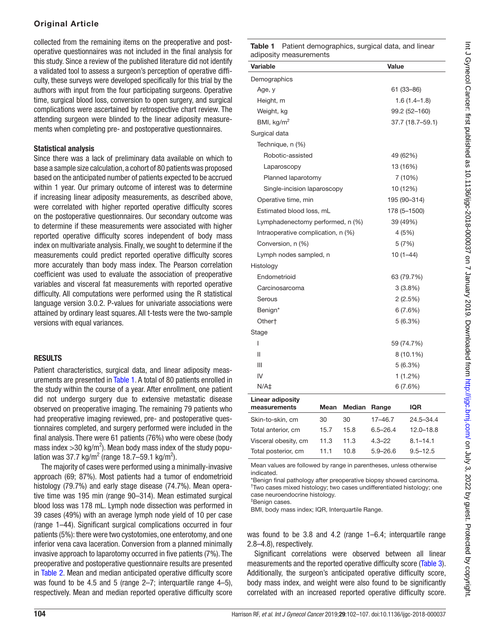# Original Article

collected from the remaining items on the preoperative and postoperative questionnaires was not included in the final analysis for this study. Since a review of the published literature did not identify a validated tool to assess a surgeon's perception of operative difficulty, these surveys were developed specifically for this trial by the authors with input from the four participating surgeons. Operative time, surgical blood loss, conversion to open surgery, and surgical complications were ascertained by retrospective chart review. The attending surgeon were blinded to the linear adiposity measurements when completing pre- and postoperative questionnaires.

# Statistical analysis

Since there was a lack of preliminary data available on which to base a sample size calculation, a cohort of 80 patients was proposed based on the anticipated number of patients expected to be accrued within 1 year. Our primary outcome of interest was to determine if increasing linear adiposity measurements, as described above, were correlated with higher reported operative difficulty scores on the postoperative questionnaires. Our secondary outcome was to determine if these measurements were associated with higher reported operative difficulty scores independent of body mass index on multivariate analysis. Finally, we sought to determine if the measurements could predict reported operative difficulty scores more accurately than body mass index. The Pearson correlation coefficient was used to evaluate the association of preoperative variables and visceral fat measurements with reported operative difficulty. All computations were performed using the R statistical language version 3.0.2. P-values for univariate associations were attained by ordinary least squares. All t-tests were the two-sample versions with equal variances.

# **RESULTS**

Patient characteristics, surgical data, and linear adiposity measurements are presented in Table 1. A total of 80 patients enrolled in the study within the course of a year. After enrollment, one patient did not undergo surgery due to extensive metastatic disease observed on preoperative imaging. The remaining 79 patients who had preoperative imaging reviewed, pre- and postoperative questionnaires completed, and surgery performed were included in the final analysis. There were 61 patients (76%) who were obese (body mass index > 30 kg/m<sup>2</sup>). Mean body mass index of the study population was 37.7 kg/m<sup>2</sup> (range 18.7–59.1 kg/m<sup>2</sup>).

The majority of cases were performed using a minimally-invasive approach (69; 87%). Most patients had a tumor of endometrioid histology (79.7%) and early stage disease (74.7%). Mean operative time was 195 min (range 90–314). Mean estimated surgical blood loss was 178 mL. Lymph node dissection was performed in 39 cases (49%) with an average lymph node yield of 10 per case (range 1–44). Significant surgical complications occurred in four patients (5%): there were two cystotomies, one enterotomy, and one inferior vena cava laceration. Conversion from a planned minimally invasive approach to laparotomy occurred in five patients (7%). The preoperative and postoperative questionnaire results are presented in [Table 2](#page-3-0). Mean and median anticipated operative difficulty score was found to be 4.5 and 5 (range 2–7; interquartile range 4–5), respectively. Mean and median reported operative difficulty score

| <b>Table 1</b> Patient demographics, surgical data, and linear |  |  |
|----------------------------------------------------------------|--|--|
| adiposity measurements                                         |  |  |

| Variable                           | Value            |
|------------------------------------|------------------|
| Demographics                       |                  |
| Age, y                             | 61 (33-86)       |
| Height, m                          | $1.6(1.4-1.8)$   |
| Weight, kg                         | 99.2 (52-160)    |
| BMI, $kg/m2$                       | 37.7 (18.7-59.1) |
| Surgical data                      |                  |
| Technique, n (%)                   |                  |
| Robotic-assisted                   | 49 (62%)         |
| Laparoscopy                        | 13 (16%)         |
| Planned laparotomy                 | 7 (10%)          |
| Single-incision laparoscopy        | 10 (12%)         |
| Operative time, min                | 195 (90-314)     |
| Estimated blood loss, mL           | 178 (5-1500)     |
| Lymphadenectomy performed, n (%)   | 39 (49%)         |
| Intraoperative complication, n (%) | 4 (5%)           |
| Conversion, n (%)                  | 5(7%)            |
| Lymph nodes sampled, n             | $10(1-44)$       |
| Histology                          |                  |
| Endometrioid                       | 63 (79.7%)       |
| Carcinosarcoma                     | 3(3.8%)          |
| Serous                             | 2(2.5%)          |
| Benign*                            | 6(7.6%)          |
| Other†                             | 5(6.3%)          |
| Stage                              |                  |
| ı                                  | 59 (74.7%)       |
| Ш                                  | $8(10.1\%)$      |
| Ш                                  | 5(6.3%)          |
| IV                                 | 1(1.2%)          |
| $N/A+$                             | 6(7.6%)          |
| <b>Linear adiposity</b>            |                  |

| <b>Mean</b> |      |              | <b>IQR</b>          |
|-------------|------|--------------|---------------------|
| 30          | 30   | $17 - 46.7$  | $24.5 - 34.4$       |
| 15.7        | 15.8 | $6.5 - 26.4$ | $12.0 - 18.8$       |
| 11.3        | 11.3 | $4.3 - 22$   | $8.1 - 14.1$        |
| 11 1        | 10.8 | $5.9 - 26.6$ | $9.5 - 12.5$        |
|             |      |              | <b>Median Range</b> |

Mean values are followed by range in parentheses, unless otherwise indicated.

\*Benign final pathology after preoperative biopsy showed carcinoma. † Two cases mixed histology; two cases undifferentiated histology; one case neuroendocrine histology.

‡ Benign cases.

BMI, body mass index; IQR, Interquartile Range.

was found to be 3.8 and 4.2 (range 1–6.4; interquartile range 2.8–4.8), respectively.

Significant correlations were observed between all linear measurements and the reported operative difficulty score [\(Table 3\)](#page-3-1). Additionally, the surgeon's anticipated operative difficulty score, body mass index, and weight were also found to be significantly correlated with an increased reported operative difficulty score.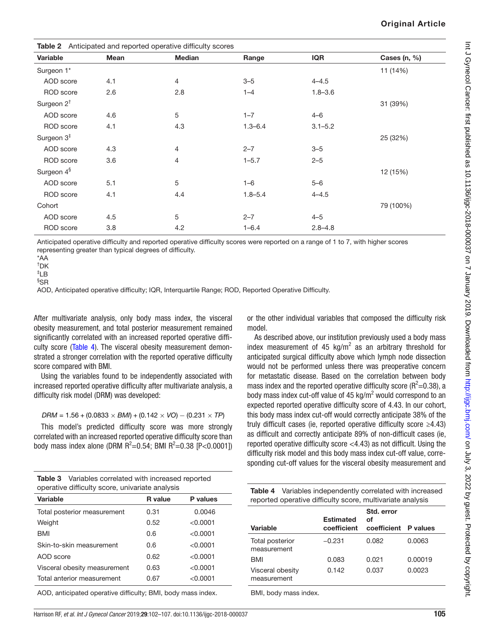|  |  | <b>Original Article</b> |
|--|--|-------------------------|
|  |  |                         |

<span id="page-3-0"></span>

| Anticipated and reported operative difficulty scores<br>Table 2 |      |               |             |             |              |
|-----------------------------------------------------------------|------|---------------|-------------|-------------|--------------|
| Variable                                                        | Mean | <b>Median</b> | Range       | <b>IQR</b>  | Cases (n, %) |
| Surgeon 1*                                                      |      |               |             |             | 11 (14%)     |
| AOD score                                                       | 4.1  | 4             | $3 - 5$     | $4 - 4.5$   |              |
| <b>ROD</b> score                                                | 2.6  | 2.8           | $1 - 4$     | $1.8 - 3.6$ |              |
| Surgeon 2 <sup>t</sup>                                          |      |               |             |             | 31 (39%)     |
| AOD score                                                       | 4.6  | 5             | $1 - 7$     | $4 - 6$     |              |
| <b>ROD</b> score                                                | 4.1  | 4.3           | $1.3 - 6.4$ | $3.1 - 5.2$ |              |
| Surgeon $3‡$                                                    |      |               |             |             | 25 (32%)     |
| AOD score                                                       | 4.3  | 4             | $2 - 7$     | $3 - 5$     |              |
| ROD score                                                       | 3.6  | 4             | $1 - 5.7$   | $2 - 5$     |              |
| Surgeon 4 <sup>§</sup>                                          |      |               |             |             | 12 (15%)     |
| AOD score                                                       | 5.1  | $\sqrt{5}$    | $1 - 6$     | $5 - 6$     |              |
| ROD score                                                       | 4.1  | 4.4           | $1.8 - 5.4$ | $4 - 4.5$   |              |
| Cohort                                                          |      |               |             |             | 79 (100%)    |
| AOD score                                                       | 4.5  | 5             | $2 - 7$     | $4 - 5$     |              |
| ROD score                                                       | 3.8  | 4.2           | $1 - 6.4$   | $2.8 - 4.8$ |              |

Anticipated operative difficulty and reported operative difficulty scores were reported on a range of 1 to 7, with higher scores representing greater than typical degrees of difficulty.

\*AA

† DK

‡ LB

§ SR

AOD, Anticipated operative difficulty; IQR, Interquartile Range; ROD, Reported Operative Difficulty.

After multivariate analysis, only body mass index, the visceral obesity measurement, and total posterior measurement remained significantly correlated with an increased reported operative difficulty score (Table 4). The visceral obesity measurement demonstrated a stronger correlation with the reported operative difficulty score compared with BMI.

Using the variables found to be independently associated with increased reported operative difficulty after multivariate analysis, a difficulty risk model (DRM) was developed:

*DRM* = 1.56 + (0.0833 *× BMI*) + (0.142 *× VO*) *−* (0.231 *× TP*)

This model's predicted difficulty score was more strongly correlated with an increased reported operative difficulty score than body mass index alone (DRM  $R^2$ =0.54; BMI  $R^2$ =0.38 [P<0.0001])

<span id="page-3-1"></span>

| Table 3 Variables correlated with increased reported |
|------------------------------------------------------|
| operative difficulty score, univariate analysis      |

| <b>Variable</b>              | <b>R</b> value | <b>P</b> values |
|------------------------------|----------------|-----------------|
| Total posterior measurement  | 0.31           | 0.0046          |
| Weight                       | 0.52           | < 0.0001        |
| <b>BMI</b>                   | 0.6            | < 0.0001        |
| Skin-to-skin measurement     | 0.6            | < 0.0001        |
| AOD score                    | 0.62           | < 0.0001        |
| Visceral obesity measurement | 0.63           | < 0.0001        |
| Total anterior measurement   | 0.67           | < 0.0001        |
|                              |                |                 |

AOD, anticipated operative difficulty; BMI, body mass index.

or the other individual variables that composed the difficulty risk model.

As described above, our institution previously used a body mass index measurement of 45  $kg/m^2$  as an arbitrary threshold for anticipated surgical difficulty above which lymph node dissection would not be performed unless there was preoperative concern for metastatic disease. Based on the correlation between body mass index and the reported operative difficulty score ( $R^2$ =0.38), a body mass index cut-off value of  $45$  kg/m<sup>2</sup> would correspond to an expected reported operative difficulty score of 4.43. In our cohort, this body mass index cut-off would correctly anticipate 38% of the truly difficult cases (ie, reported operative difficulty score ≥4.43) as difficult and correctly anticipate 89% of non-difficult cases (ie, reported operative difficulty score <4.43) as not difficult. Using the difficulty risk model and this body mass index cut-off value, corresponding cut-off values for the visceral obesity measurement and

<span id="page-3-2"></span>

|  | <b>Table 4</b> Variables independently correlated with increased |
|--|------------------------------------------------------------------|
|  | reported operative difficulty score, multivariate analysis       |

| Variable                        | <b>Estimated</b><br>coefficient | Std. error<br>οf<br>coefficient P values |         |
|---------------------------------|---------------------------------|------------------------------------------|---------|
| Total posterior<br>measurement  | $-0.231$                        | 0.082                                    | 0.0063  |
| <b>BMI</b>                      | 0.083                           | 0.021                                    | 0.00019 |
| Visceral obesity<br>measurement | 0.142                           | 0.037                                    | 0.0023  |

BMI, body mass index.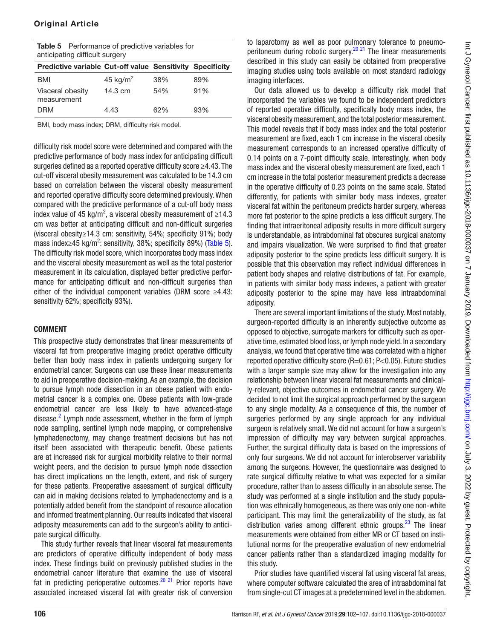Visceral obesity measurement

<span id="page-4-0"></span>

|                                | <b>Table 5</b> Performance of predictive variables for           |  |
|--------------------------------|------------------------------------------------------------------|--|
| anticipating difficult surgery |                                                                  |  |
|                                | <b>Predictive variable Cut-off value Sensitivity Specificity</b> |  |
|                                |                                                                  |  |

DRM 4.43 62% 93%

14.3 cm 54% 91%

BMI, body mass index; DRM, difficulty risk model.

difficulty risk model score were determined and compared with the predictive performance of body mass index for anticipating difficult surgeries defined as a reported operative difficulty score ≥4.43. The cut-off visceral obesity measurement was calculated to be 14.3 cm based on correlation between the visceral obesity measurement and reported operative difficulty score determined previously. When compared with the predictive performance of a cut-off body mass index value of 45 kg/m<sup>2</sup>, a visceral obesity measurement of  $\geq 14.3$ cm was better at anticipating difficult and non-difficult surgeries (visceral obesity≥14.3 cm: sensitivity, 54%; specificity 91%; body mass index≥45 kg/m<sup>2</sup>: sensitivity, 38%; specificity 89%) ([Table 5\)](#page-4-0). The difficulty risk model score, which incorporates body mass index and the visceral obesity measurement as well as the total posterior measurement in its calculation, displayed better predictive performance for anticipating difficult and non-difficult surgeries than either of the individual component variables (DRM score ≥4.43: sensitivity 62%; specificity 93%).

#### **COMMENT**

This prospective study demonstrates that linear measurements of visceral fat from preoperative imaging predict operative difficulty better than body mass index in patients undergoing surgery for endometrial cancer. Surgeons can use these linear measurements to aid in preoperative decision-making. As an example, the decision to pursue lymph node dissection in an obese patient with endometrial cancer is a complex one. Obese patients with low-grade endometrial cancer are less likely to have advanced-stage disease.<sup>[2](#page-5-2)</sup> Lymph node assessment, whether in the form of lymph node sampling, sentinel lymph node mapping, or comprehensive lymphadenectomy, may change treatment decisions but has not itself been associated with therapeutic benefit. Obese patients are at increased risk for surgical morbidity relative to their normal weight peers, and the decision to pursue lymph node dissection has direct implications on the length, extent, and risk of surgery for these patients. Preoperative assessment of surgical difficulty can aid in making decisions related to lymphadenectomy and is a potentially added benefit from the standpoint of resource allocation and informed treatment planning. Our results indicated that visceral adiposity measurements can add to the surgeon's ability to anticipate surgical difficulty.

This study further reveals that linear visceral fat measurements are predictors of operative difficulty independent of body mass index. These findings build on previously published studies in the endometrial cancer literature that examine the use of visceral fat in predicting perioperative outcomes.<sup>20 21</sup> Prior reports have associated increased visceral fat with greater risk of conversion

to laparotomy as well as poor pulmonary tolerance to pneumo-peritoneum during robotic surgery.<sup>[20 21](#page-5-5)</sup> The linear measurements described in this study can easily be obtained from preoperative imaging studies using tools available on most standard radiology imaging interfaces.

Our data allowed us to develop a difficulty risk model that incorporated the variables we found to be independent predictors of reported operative difficulty, specifically body mass index, the visceral obesity measurement, and the total posterior measurement. This model reveals that if body mass index and the total posterior measurement are fixed, each 1 cm increase in the visceral obesity measurement corresponds to an increased operative difficulty of 0.14 points on a 7-point difficulty scale. Interestingly, when body mass index and the visceral obesity measurement are fixed, each 1 cm increase in the total posterior measurement predicts a decrease in the operative difficulty of 0.23 points on the same scale. Stated differently, for patients with similar body mass indexes, greater visceral fat within the peritoneum predicts harder surgery, whereas more fat posterior to the spine predicts a less difficult surgery. The finding that intraeritoneal adiposity results in more difficult surgery is understandable, as intrabdominal fat obscures surgical anatomy and impairs visualization. We were surprised to find that greater adiposity posterior to the spine predicts less difficult surgery. It is possible that this observation may reflect individual differences in patient body shapes and relative distributions of fat. For example, in patients with similar body mass indexes, a patient with greater adiposity posterior to the spine may have less intraabdominal adiposity.

There are several important limitations of the study. Most notably, surgeon-reported difficulty is an inherently subjective outcome as opposed to objective, surrogate markers for difficulty such as operative time, estimated blood loss, or lymph node yield. In a secondary analysis, we found that operative time was correlated with a higher reported operative difficulty score (R=0.61; P<0.05). Future studies with a larger sample size may allow for the investigation into any relationship between linear visceral fat measurements and clinically-relevant, objective outcomes in endometrial cancer surgery. We decided to not limit the surgical approach performed by the surgeon to any single modality. As a consequence of this, the number of surgeries performed by any single approach for any individual surgeon is relatively small. We did not account for how a surgeon's impression of difficulty may vary between surgical approaches. Further, the surgical difficulty data is based on the impressions of only four surgeons. We did not account for interobserver variability among the surgeons. However, the questionnaire was designed to rate surgical difficulty relative to what was expected for a similar procedure, rather than to assess difficulty in an absolute sense. The study was performed at a single institution and the study population was ethnically homogeneous, as there was only one non-white participant. This may limit the generalizability of the study, as fat distribution varies among different ethnic groups. $^{23}$  $^{23}$  $^{23}$  The linear measurements were obtained from either MR or CT based on institutional norms for the preoperative evaluation of new endometrial cancer patients rather than a standardized imaging modality for this study.

Prior studies have quantified visceral fat using visceral fat areas, where computer software calculated the area of intraabdominal fat from single-cut CT images at a predetermined level in the abdomen.